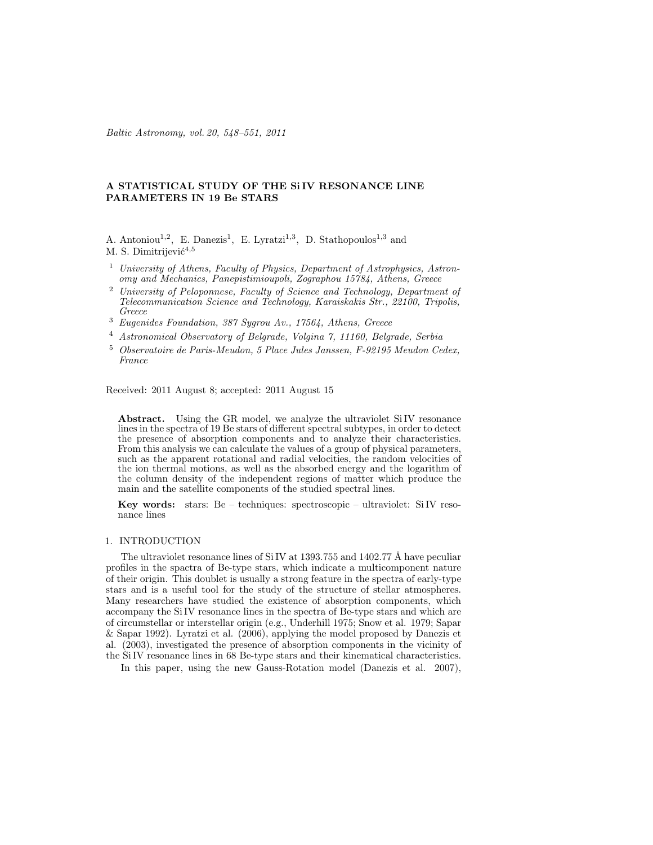Baltic Astronomy, vol. 20, 548–551, 2011

## A STATISTICAL STUDY OF THE Si IV RESONANCE LINE PARAMETERS IN 19 Be STARS

A. Antoniou<sup>1,2</sup>, E. Danezis<sup>1</sup>, E. Lyratzi<sup>1,3</sup>, D. Stathopoulos<sup>1,3</sup> and M. S. Dimitrijević<sup>4,5</sup>

- <sup>1</sup> University of Athens, Faculty of Physics, Department of Astrophysics, Astronomy and Mechanics, Panepistimioupoli, Zographou 15784, Athens, Greece
- <sup>2</sup> University of Peloponnese, Faculty of Science and Technology, Department of Telecommunication Science and Technology, Karaiskakis Str., 22100, Tripolis, Greece
- <sup>3</sup> Eugenides Foundation, 387 Sygrou Av., 17564, Athens, Greece
- <sup>4</sup> Astronomical Observatory of Belgrade, Volgina 7, 11160, Belgrade, Serbia
- <sup>5</sup> Observatoire de Paris-Meudon, 5 Place Jules Janssen, F-92195 Meudon Cedex, France

Received: 2011 August 8; accepted: 2011 August 15

Abstract. Using the GR model, we analyze the ultraviolet SiIV resonance lines in the spectra of 19 Be stars of different spectral subtypes, in order to detect the presence of absorption components and to analyze their characteristics. From this analysis we can calculate the values of a group of physical parameters, such as the apparent rotational and radial velocities, the random velocities of the ion thermal motions, as well as the absorbed energy and the logarithm of the column density of the independent regions of matter which produce the main and the satellite components of the studied spectral lines.

Key words: stars: Be – techniques: spectroscopic – ultraviolet: SiIV resonance lines

## 1. INTRODUCTION

The ultraviolet resonance lines of SiIV at  $1393.755$  and  $1402.77$  Å have peculiar profiles in the spactra of Be-type stars, which indicate a multicomponent nature of their origin. This doublet is usually a strong feature in the spectra of early-type stars and is a useful tool for the study of the structure of stellar atmospheres. Many researchers have studied the existence of absorption components, which accompany the SiIV resonance lines in the spectra of Be-type stars and which are of circumstellar or interstellar origin (e.g., Underhill 1975; Snow et al. 1979; Sapar & Sapar 1992). Lyratzi et al. (2006), applying the model proposed by Danezis et al. (2003), investigated the presence of absorption components in the vicinity of the SiIV resonance lines in 68 Be-type stars and their kinematical characteristics.

In this paper, using the new Gauss-Rotation model (Danezis et al. 2007),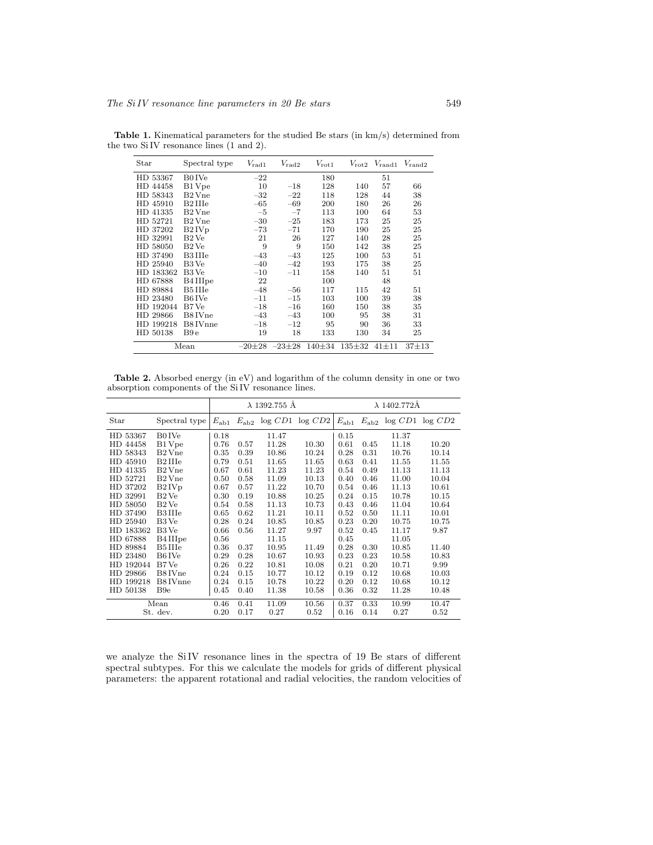| Star      | Spectral type     | $V_{\rm rad1}$ | $V_{\rm rad2}$ | $V_{\rm rot1}$ |              | $V_{\text{rot2}}$ $V_{\text{rand1}}$ | $V_{\rm rand2}$ |
|-----------|-------------------|----------------|----------------|----------------|--------------|--------------------------------------|-----------------|
| HD 53367  | B0 IVe            | $-22$          |                | 180            |              | 51                                   |                 |
| HD 44458  | B1 Vpe            | 10             | $-18$          | 128            | 140          | 57                                   | 66              |
| HD 58343  | B2 Vne            | $-32$          | $-22$          | 118            | 128          | 44                                   | 38              |
| HD 45910  | B2 IIIe           | $-65$          | $-69$          | 200            | 180          | 26                                   | 26              |
| HD 41335  | $B2$ Vne          | $-5$           | $-7$           | 113            | 100          | 64                                   | 53              |
| HD 52721  | B2 Vne            | $-30$          | $-25$          | 183            | 173          | 25                                   | 25              |
| HD 37202  | B2IVp             | $-73$          | $-71$          | 170            | 190          | 25                                   | 25              |
| HD 32991  | B <sub>2</sub> Ve | 21             | 26             | 127            | 140          | 28                                   | 25              |
| HD 58050  | B <sub>2</sub> Ve | 9              | 9              | 150            | 142          | 38                                   | 25              |
| HD 37490  | B3 IIIe           | $-43$          | $-43$          | 125            | 100          | 53                                   | 51              |
| HD 25940  | B3 Ve             | $-40$          | $-42$          | 193            | 175          | 38                                   | 25              |
| HD 183362 | B3 Ve             | $-10$          | $-11$          | 158            | 140          | 51                                   | 51              |
| HD 67888  | B4 IIIpe          | 22             |                | 100            |              | 48                                   |                 |
| HD 89884  | B5 IIIe           | $-48$          | $-56$          | 117            | 115          | 42                                   | 51              |
| HD 23480  | B6 IVe            | $-11$          | $-15$          | 103            | 100          | 39                                   | 38              |
| HD 192044 | B7 Ve             | $-18$          | $-16$          | 160            | 150          | 38                                   | 35              |
| HD 29866  | B8 IVne           | $-43$          | $-43$          | 100            | 95           | 38                                   | 31              |
| HD 199218 | B8 IVnne          | $-18$          | $-12$          | 95             | 90           | 36                                   | 33              |
| HD 50138  | B9 e              | 19             | 18             | 133            | 130          | 34                                   | 25              |
| Mean      |                   | $-20\pm 28$    | $-23\pm 28$    | 140±34         | $135 \pm 32$ | $41 \pm 11$                          | $37 + 13$       |

Table 1. Kinematical parameters for the studied Be stars (in km/s) determined from the two SiIV resonance lines (1 and 2).

Table 2. Absorbed energy (in eV) and logarithm of the column density in one or two absorption components of the SiIV resonance lines.

|           |                      | $\lambda$ 1392.755 Å |               |       | $\lambda$ 1402.772Å |               |               |       |                 |
|-----------|----------------------|----------------------|---------------|-------|---------------------|---------------|---------------|-------|-----------------|
| Star      | Spectral type        | $E_{ab1}$            | $E_{\rm ab2}$ |       | log CD1 log CD2     | $E_{\rm ab1}$ | $E_{\rm ab2}$ |       | log CD1 log CD2 |
| HD 53367  | B0 IVe               | 0.18                 |               | 11.47 |                     | 0.15          |               | 11.37 |                 |
| HD 44458  | B1 Vpe               | 0.76                 | 0.57          | 11.28 | 10.30               | 0.61          | 0.45          | 11.18 | 10.20           |
| HD 58343  | $B2$ Vne             | 0.35                 | 0.39          | 10.86 | 10.24               | 0.28          | 0.31          | 10.76 | 10.14           |
| HD 45910  | B2 IIIe              | 0.79                 | 0.51          | 11.65 | 11.65               | 0.63          | 0.41          | 11.55 | 11.55           |
| HD 41335  | B <sub>2</sub> Vne   | 0.67                 | 0.61          | 11.23 | 11.23               | 0.54          | 0.49          | 11.13 | 11.13           |
| HD 52721  | B <sub>2</sub> Vne   | 0.50                 | 0.58          | 11.09 | 10.13               | 0.40          | 0.46          | 11.00 | 10.04           |
| HD 37202  | B2IVp                | 0.67                 | 0.57          | 11.22 | 10.70               | 0.54          | 0.46          | 11.13 | 10.61           |
| HD 32991  | B <sub>2</sub> Ve    | 0.30                 | 0.19          | 10.88 | 10.25               | 0.24          | 0.15          | 10.78 | 10.15           |
| HD 58050  | B <sub>2</sub> Ve    | 0.54                 | 0.58          | 11.13 | 10.73               | 0.43          | 0.46          | 11.04 | 10.64           |
| HD 37490  | B3 IIIe              | 0.65                 | 0.62          | 11.21 | 10.11               | 0.52          | 0.50          | 11.11 | 10.01           |
| HD 25940  | B3 Ve                | 0.28                 | 0.24          | 10.85 | 10.85               | 0.23          | 0.20          | 10.75 | 10.75           |
| HD 183362 | B3 Ve                | 0.66                 | 0.56          | 11.27 | 9.97                | 0.52          | 0.45          | 11.17 | 9.87            |
| HD 67888  | B4 III <sub>pe</sub> | 0.56                 |               | 11.15 |                     | 0.45          |               | 11.05 |                 |
| HD 89884  | B5 IIIe              | 0.36                 | 0.37          | 10.95 | 11.49               | 0.28          | 0.30          | 10.85 | 11.40           |
| HD 23480  | B6 IVe               | 0.29                 | 0.28          | 10.67 | 10.93               | 0.23          | 0.23          | 10.58 | 10.83           |
| HD 192044 | B7 Ve                | 0.26                 | 0.22          | 10.81 | 10.08               | 0.21          | 0.20          | 10.71 | 9.99            |
| HD 29866  | B8 IVne              | 0.24                 | 0.15          | 10.77 | 10.12               | 0.19          | 0.12          | 10.68 | 10.03           |
| HD 199218 | B8 IVnne             | 0.24                 | 0.15          | 10.78 | 10.22               | 0.20          | 0.12          | 10.68 | 10.12           |
| HD 50138  | B <sub>9e</sub>      | 0.45                 | 0.40          | 11.38 | 10.58               | 0.36          | 0.32          | 11.28 | 10.48           |
| Mean      |                      | 0.46                 | 0.41          | 11.09 | 10.56               | 0.37          | 0.33          | 10.99 | 10.47           |
| St. dev.  |                      | 0.20                 | 0.17          | 0.27  | 0.52                | 0.16          | 0.14          | 0.27  | 0.52            |

we analyze the SiIV resonance lines in the spectra of 19 Be stars of different spectral subtypes. For this we calculate the models for grids of different physical parameters: the apparent rotational and radial velocities, the random velocities of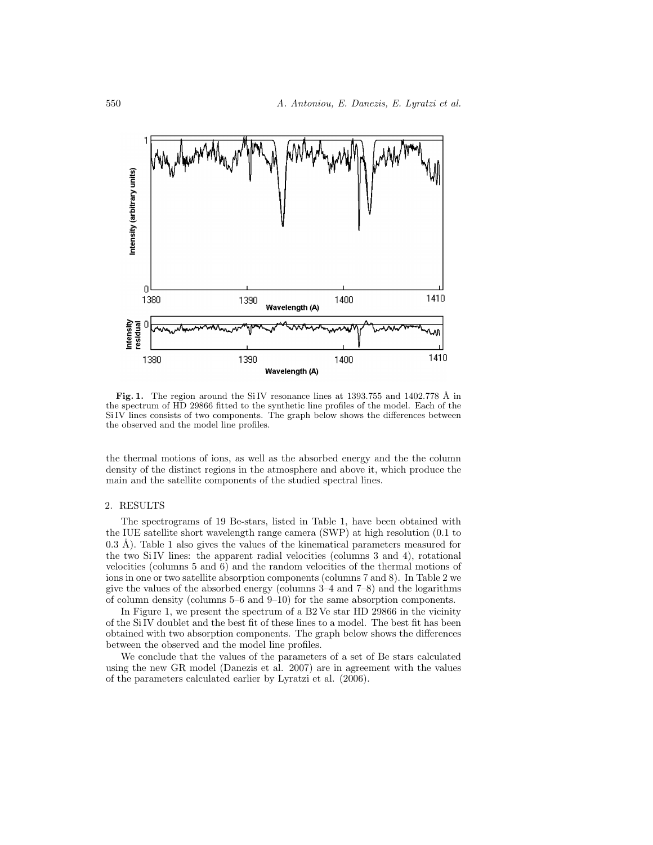

Fig. 1. The region around the SiIV resonance lines at 1393.755 and 1402.778 Å in the spectrum of HD 29866 fitted to the synthetic line profiles of the model. Each of the SiIV lines consists of two components. The graph below shows the differences between the observed and the model line profiles.

the thermal motions of ions, as well as the absorbed energy and the the column density of the distinct regions in the atmosphere and above it, which produce the main and the satellite components of the studied spectral lines.

## 2. RESULTS

The spectrograms of 19 Be-stars, listed in Table 1, have been obtained with the IUE satellite short wavelength range camera (SWP) at high resolution (0.1 to 0.3 Å). Table 1 also gives the values of the kinematical parameters measured for the two SiIV lines: the apparent radial velocities (columns 3 and 4), rotational velocities (columns 5 and 6) and the random velocities of the thermal motions of ions in one or two satellite absorption components (columns 7 and 8). In Table 2 we give the values of the absorbed energy (columns 3–4 and 7–8) and the logarithms of column density (columns 5–6 and 9–10) for the same absorption components.

In Figure 1, we present the spectrum of a B2 Ve star HD 29866 in the vicinity of the SiIV doublet and the best fit of these lines to a model. The best fit has been obtained with two absorption components. The graph below shows the differences between the observed and the model line profiles.

We conclude that the values of the parameters of a set of Be stars calculated using the new GR model (Danezis et al. 2007) are in agreement with the values of the parameters calculated earlier by Lyratzi et al. (2006).